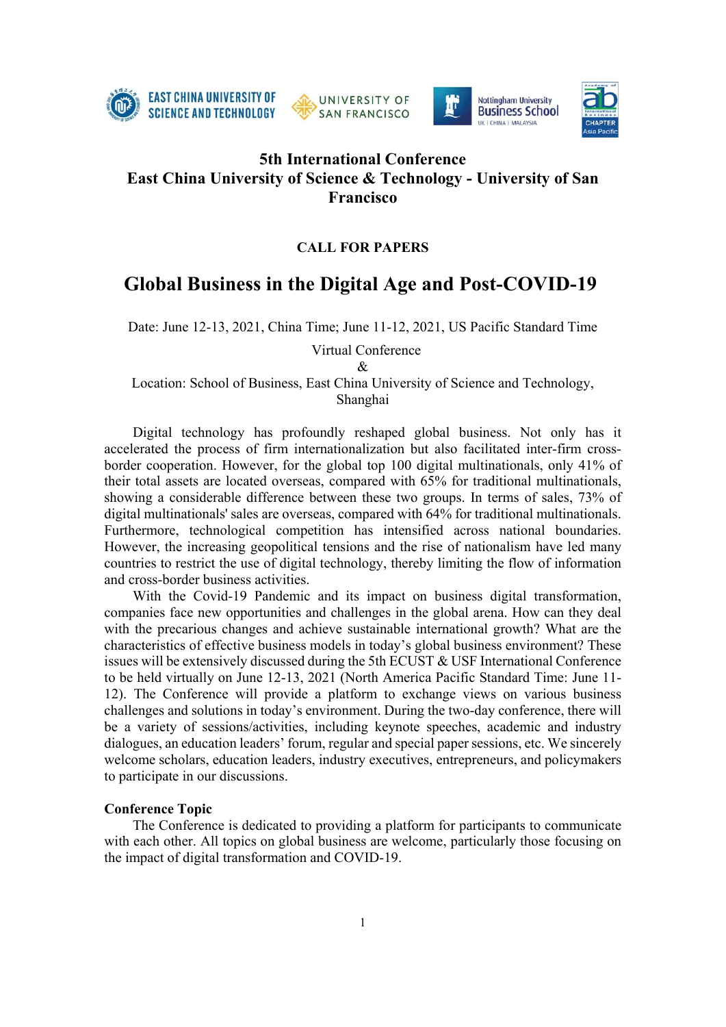







# **5th International Conference East China University of Science & Technology - University of San Francisco**

## **CALL FOR PAPERS**

# **Global Business in the Digital Age and Post-COVID-19**

Date: June 12-13, 2021, China Time; June 11-12, 2021, US Pacific Standard Time

Virtual Conference

 $\mathcal{R}$ 

Location: School of Business, East China University of Science and Technology, Shanghai

Digital technology has profoundly reshaped global business. Not only has it accelerated the process of firm internationalization but also facilitated inter-firm crossborder cooperation. However, for the global top 100 digital multinationals, only 41% of their total assets are located overseas, compared with 65% for traditional multinationals, showing a considerable difference between these two groups. In terms of sales, 73% of digital multinationals' sales are overseas, compared with 64% for traditional multinationals. Furthermore, technological competition has intensified across national boundaries. However, the increasing geopolitical tensions and the rise of nationalism have led many countries to restrict the use of digital technology, thereby limiting the flow of information and cross-border business activities.

With the Covid-19 Pandemic and its impact on business digital transformation, companies face new opportunities and challenges in the global arena. How can they deal with the precarious changes and achieve sustainable international growth? What are the characteristics of effective business models in today's global business environment? These issues will be extensively discussed during the 5th ECUST & USF International Conference to be held virtually on June 12-13, 2021 (North America Pacific Standard Time: June 11- 12). The Conference will provide a platform to exchange views on various business challenges and solutions in today's environment. During the two-day conference, there will be a variety of sessions/activities, including keynote speeches, academic and industry dialogues, an education leaders' forum, regular and special paper sessions, etc. We sincerely welcome scholars, education leaders, industry executives, entrepreneurs, and policymakers to participate in our discussions.

#### **Conference Topic**

The Conference is dedicated to providing a platform for participants to communicate with each other. All topics on global business are welcome, particularly those focusing on the impact of digital transformation and COVID-19.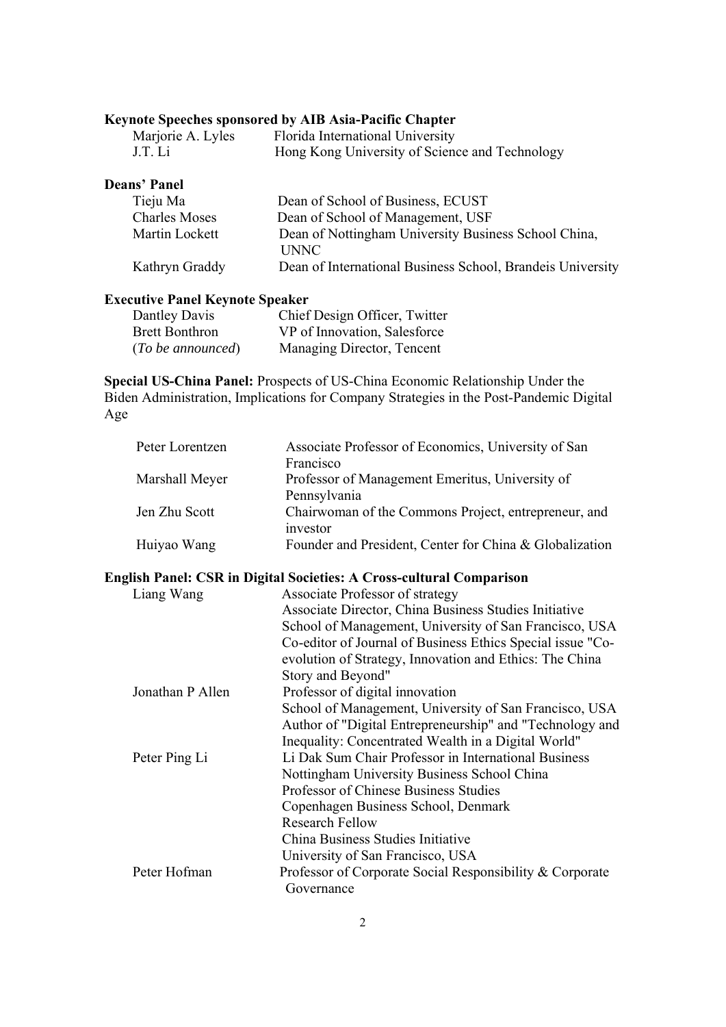## **Keynote Speeches sponsored by AIB Asia-Pacific Chapter**

| Marjorie A. Lyles | Florida International University               |
|-------------------|------------------------------------------------|
| J.T. Li           | Hong Kong University of Science and Technology |

## **Deans' Panel**

| Tieju Ma             | Dean of School of Business, ECUST                          |
|----------------------|------------------------------------------------------------|
| <b>Charles Moses</b> | Dean of School of Management, USF                          |
| Martin Lockett       | Dean of Nottingham University Business School China,       |
|                      | <b>UNNC</b>                                                |
| Kathryn Graddy       | Dean of International Business School, Brandeis University |
|                      |                                                            |

## **Executive Panel Keynote Speaker**

| Dantley Davis         | Chief Design Officer, Twitter |
|-----------------------|-------------------------------|
| <b>Brett Bonthron</b> | VP of Innovation, Salesforce  |
| (To be announced)     | Managing Director, Tencent    |

**Special US-China Panel:** Prospects of US-China Economic Relationship Under the Biden Administration, Implications for Company Strategies in the Post-Pandemic Digital Age

| Peter Lorentzen | Associate Professor of Economics, University of San              |
|-----------------|------------------------------------------------------------------|
|                 | Francisco                                                        |
| Marshall Meyer  | Professor of Management Emeritus, University of                  |
|                 | Pennsylvania                                                     |
| Jen Zhu Scott   | Chairwoman of the Commons Project, entrepreneur, and<br>investor |
| Huiyao Wang     | Founder and President, Center for China & Globalization          |

# **English Panel: CSR in Digital Societies: A Cross-cultural Comparison**

| Associate Professor of strategy                            |
|------------------------------------------------------------|
| Associate Director, China Business Studies Initiative      |
| School of Management, University of San Francisco, USA     |
| Co-editor of Journal of Business Ethics Special issue "Co- |
| evolution of Strategy, Innovation and Ethics: The China    |
| Story and Beyond"                                          |
| Professor of digital innovation                            |
| School of Management, University of San Francisco, USA     |
| Author of "Digital Entrepreneurship" and "Technology and   |
| Inequality: Concentrated Wealth in a Digital World"        |
| Li Dak Sum Chair Professor in International Business       |
| Nottingham University Business School China                |
| Professor of Chinese Business Studies                      |
| Copenhagen Business School, Denmark                        |
| Research Fellow                                            |
| China Business Studies Initiative                          |
| University of San Francisco, USA                           |
| Professor of Corporate Social Responsibility & Corporate   |
| Governance                                                 |
|                                                            |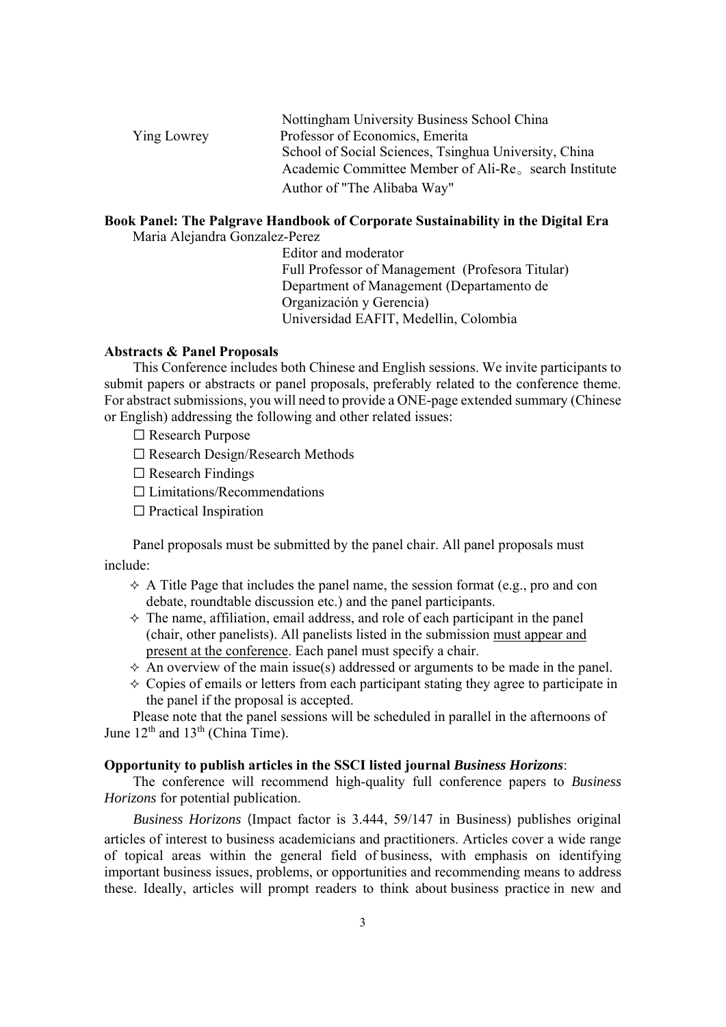|                    | Nottingham University Business School China                       |
|--------------------|-------------------------------------------------------------------|
| <b>Ying Lowrey</b> | Professor of Economics, Emerita                                   |
|                    | School of Social Sciences, Tsinghua University, China             |
|                    | Academic Committee Member of Ali-Re <sub>o</sub> search Institute |
|                    | Author of "The Alibaba Way"                                       |

## **Book Panel: The Palgrave Handbook of Corporate Sustainability in the Digital Era**

Maria Alejandra Gonzalez-Perez

Editor and moderator Full Professor of Management (Profesora Titular) Department of Management (Departamento de Organización y Gerencia) Universidad EAFIT, Medellin, Colombia

#### **Abstracts & Panel Proposals**

This Conference includes both Chinese and English sessions. We invite participants to submit papers or abstracts or panel proposals, preferably related to the conference theme. For abstract submissions, you will need to provide a ONE-page extended summary (Chinese or English) addressing the following and other related issues:

☐ Research Purpose

- ☐ Research Design/Research Methods
- $\Box$  Research Findings
- $\Box$  Limitations/Recommendations
- $\Box$  Practical Inspiration

Panel proposals must be submitted by the panel chair. All panel proposals must include:

- $\triangle$  A Title Page that includes the panel name, the session format (e.g., pro and con debate, roundtable discussion etc.) and the panel participants.
- $\Diamond$  The name, affiliation, email address, and role of each participant in the panel (chair, other panelists). All panelists listed in the submission must appear and present at the conference. Each panel must specify a chair.
- $\Diamond$  An overview of the main issue(s) addressed or arguments to be made in the panel.
- $\Diamond$  Copies of emails or letters from each participant stating they agree to participate in the panel if the proposal is accepted.

Please note that the panel sessions will be scheduled in parallel in the afternoons of June  $12<sup>th</sup>$  and  $13<sup>th</sup>$  (China Time).

#### **Opportunity to publish articles in the SSCI listed journal** *Business Horizons*:

The conference will recommend high-quality full conference papers to *Business Horizons* for potential publication.

*Business Horizons* (Impact factor is 3.444, 59/147 in Business) publishes original articles of interest to business academicians and practitioners. Articles cover a wide range of topical areas within the general field of business, with emphasis on identifying important business issues, problems, or opportunities and recommending means to address these. Ideally, articles will prompt readers to think about business practice in new and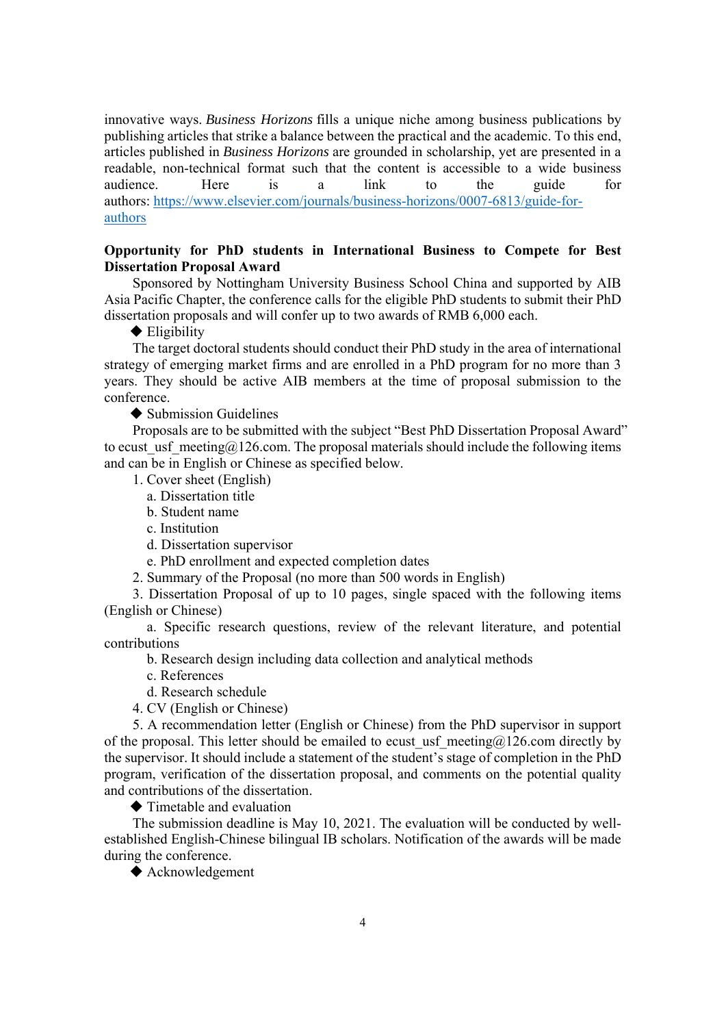innovative ways. *Business Horizons* fills a unique niche among business publications by publishing articles that strike a balance between the practical and the academic. To this end, articles published in *Business Horizons* are grounded in scholarship, yet are presented in a readable, non-technical format such that the content is accessible to a wide business audience. Here is a link to the guide for authors: https://www.elsevier.com/journals/business-horizons/0007-6813/guide-forauthors

## **Opportunity for PhD students in International Business to Compete for Best Dissertation Proposal Award**

Sponsored by Nottingham University Business School China and supported by AIB Asia Pacific Chapter, the conference calls for the eligible PhD students to submit their PhD dissertation proposals and will confer up to two awards of RMB 6,000 each.

 $\blacklozenge$  Eligibility

The target doctoral students should conduct their PhD study in the area of international strategy of emerging market firms and are enrolled in a PhD program for no more than 3 years. They should be active AIB members at the time of proposal submission to the conference.

**◆ Submission Guidelines** 

Proposals are to be submitted with the subject "Best PhD Dissertation Proposal Award" to ecust usf meeting@126.com. The proposal materials should include the following items and can be in English or Chinese as specified below.

1. Cover sheet (English)

- a. Dissertation title
- b. Student name
- c. Institution
- d. Dissertation supervisor
- e. PhD enrollment and expected completion dates

2. Summary of the Proposal (no more than 500 words in English)

3. Dissertation Proposal of up to 10 pages, single spaced with the following items (English or Chinese)

a. Specific research questions, review of the relevant literature, and potential contributions

b. Research design including data collection and analytical methods

c. References

d. Research schedule

4. CV (English or Chinese)

5. A recommendation letter (English or Chinese) from the PhD supervisor in support of the proposal. This letter should be emailed to ecust usf meeting@126.com directly by the supervisor. It should include a statement of the student's stage of completion in the PhD program, verification of the dissertation proposal, and comments on the potential quality and contributions of the dissertation.

**◆ Timetable and evaluation** 

The submission deadline is May 10, 2021. The evaluation will be conducted by wellestablished English-Chinese bilingual IB scholars. Notification of the awards will be made during the conference.

◆ Acknowledgement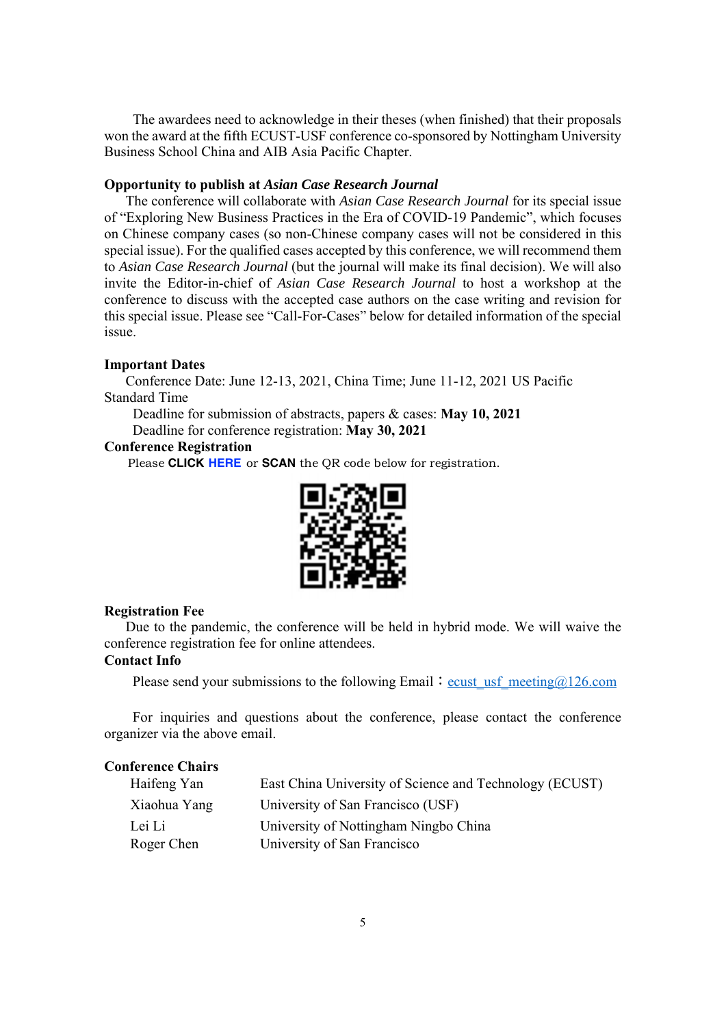The awardees need to acknowledge in their theses (when finished) that their proposals won the award at the fifth ECUST-USF conference co-sponsored by Nottingham University Business School China and AIB Asia Pacific Chapter.

#### **Opportunity to publish at** *Asian Case Research Journal*

 The conference will collaborate with *Asian Case Research Journal* for its special issue of "Exploring New Business Practices in the Era of COVID-19 Pandemic", which focuses on Chinese company cases (so non-Chinese company cases will not be considered in this special issue). For the qualified cases accepted by this conference, we will recommend them to *Asian Case Research Journal* (but the journal will make its final decision). We will also invite the Editor-in-chief of *Asian Case Research Journal* to host a workshop at the conference to discuss with the accepted case authors on the case writing and revision for this special issue. Please see "Call-For-Cases" below for detailed information of the special issue.

#### **Important Dates**

 Conference Date: June 12-13, 2021, China Time; June 11-12, 2021 US Pacific Standard Time

 Deadline for submission of abstracts, papers & cases: **May 10, 2021** Deadline for conference registration: **May 30, 2021**

## **Conference Registration**

Please **[CLICK](https://www.wjx.cn/vj/rZbJwhC.aspx) HERE** or **SCAN** the QR code below for registration



#### **Registration Fee**

Due to the pandemic, the conference will be held in hybrid mode. We will waive the conference registration fee for online attendees.

## **Contact Info**

Please send your submissions to the following Email: ecust usf meeting $@126$ .com

 For inquiries and questions about the conference, please contact the conference organizer via the above email.

#### **Conference Chairs**

| Haifeng Yan  | East China University of Science and Technology (ECUST) |
|--------------|---------------------------------------------------------|
| Xiaohua Yang | University of San Francisco (USF)                       |
| Lei Li       | University of Nottingham Ningbo China                   |
| Roger Chen   | University of San Francisco                             |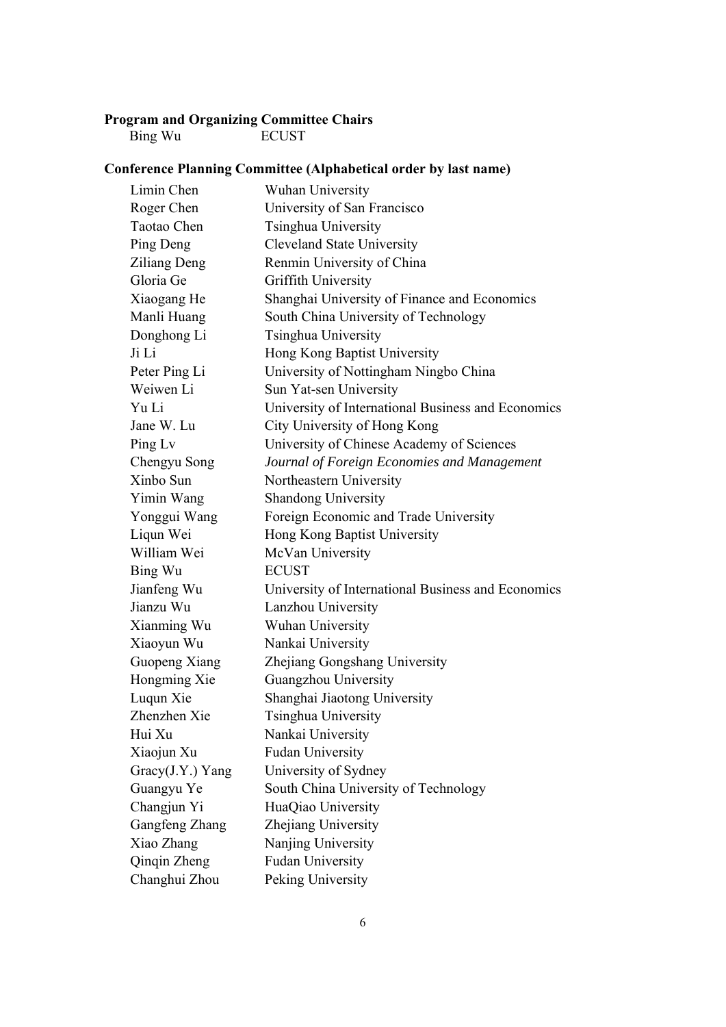#### **Program and Organizing Committee Chairs**

Bing Wu ECUST

# **Conference Planning Committee (Alphabetical order by last name)**

| Limin Chen       | Wuhan University                                   |
|------------------|----------------------------------------------------|
| Roger Chen       | University of San Francisco                        |
| Taotao Chen      | Tsinghua University                                |
| Ping Deng        | <b>Cleveland State University</b>                  |
| Ziliang Deng     | Renmin University of China                         |
| Gloria Ge        | Griffith University                                |
| Xiaogang He      | Shanghai University of Finance and Economics       |
| Manli Huang      | South China University of Technology               |
| Donghong Li      | Tsinghua University                                |
| Ji Li            | Hong Kong Baptist University                       |
| Peter Ping Li    | University of Nottingham Ningbo China              |
| Weiwen Li        | Sun Yat-sen University                             |
| Yu Li            | University of International Business and Economics |
| Jane W. Lu       | City University of Hong Kong                       |
| Ping Lv          | University of Chinese Academy of Sciences          |
| Chengyu Song     | Journal of Foreign Economies and Management        |
| Xinbo Sun        | Northeastern University                            |
| Yimin Wang       | Shandong University                                |
| Yonggui Wang     | Foreign Economic and Trade University              |
| Liqun Wei        | Hong Kong Baptist University                       |
| William Wei      | McVan University                                   |
| Bing Wu          | <b>ECUST</b>                                       |
| Jianfeng Wu      | University of International Business and Economics |
| Jianzu Wu        | Lanzhou University                                 |
| Xianming Wu      | Wuhan University                                   |
| Xiaoyun Wu       | Nankai University                                  |
| Guopeng Xiang    | Zhejiang Gongshang University                      |
| Hongming Xie     | Guangzhou University                               |
| Luqun Xie        | Shanghai Jiaotong University                       |
| Zhenzhen Xie     | Tsinghua University                                |
| Hui Xu           | Nankai University                                  |
| Xiaojun Xu       | <b>Fudan University</b>                            |
| Gracy(J.Y.) Yang | University of Sydney                               |
| Guangyu Ye       | South China University of Technology               |
| Changjun Yi      | HuaQiao University                                 |
| Gangfeng Zhang   | Zhejiang University                                |
| Xiao Zhang       | Nanjing University                                 |
| Qinqin Zheng     | <b>Fudan University</b>                            |
| Changhui Zhou    | Peking University                                  |